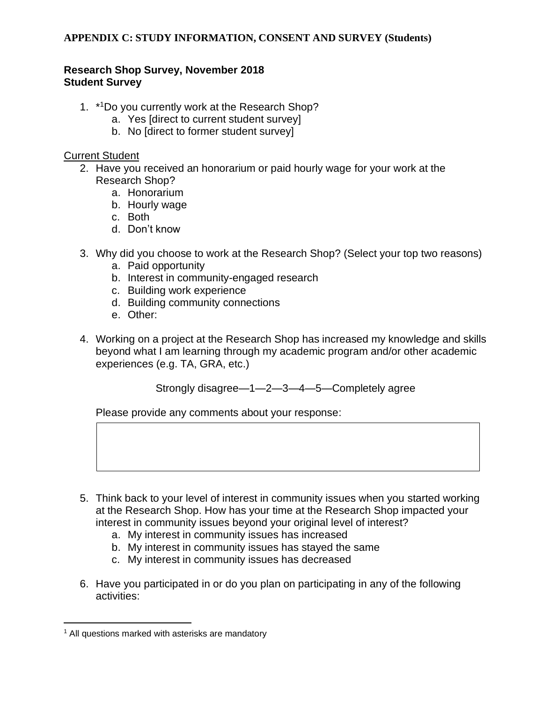### **Research Shop Survey, November 2018 Student Survey**

- 1. \*<sup>1</sup>Do you currently work at the Research Shop?
	- a. Yes [direct to current student survey]
	- b. No [direct to former student survey]

#### Current Student

- 2. Have you received an honorarium or paid hourly wage for your work at the Research Shop?
	- a. Honorarium
	- b. Hourly wage
	- c. Both
	- d. Don't know
- 3. Why did you choose to work at the Research Shop? (Select your top two reasons)
	- a. Paid opportunity
	- b. Interest in community-engaged research
	- c. Building work experience
	- d. Building community connections
	- e. Other:
- 4. Working on a project at the Research Shop has increased my knowledge and skills beyond what I am learning through my academic program and/or other academic experiences (e.g. TA, GRA, etc.)

Strongly disagree—1—2—3—4—5—Completely agree

- 5. Think back to your level of interest in community issues when you started working at the Research Shop. How has your time at the Research Shop impacted your interest in community issues beyond your original level of interest?
	- a. My interest in community issues has increased
	- b. My interest in community issues has stayed the same
	- c. My interest in community issues has decreased
- 6. Have you participated in or do you plan on participating in any of the following activities:

<sup>&</sup>lt;sup>1</sup> All questions marked with asterisks are mandatory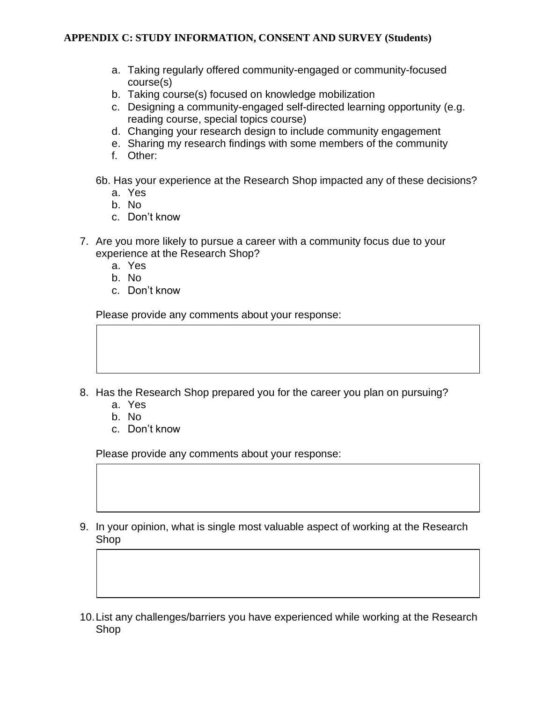- a. Taking regularly offered community-engaged or community-focused course(s)
- b. Taking course(s) focused on knowledge mobilization
- c. Designing a community-engaged self-directed learning opportunity (e.g. reading course, special topics course)
- d. Changing your research design to include community engagement
- e. Sharing my research findings with some members of the community
- f. Other:
- 6b. Has your experience at the Research Shop impacted any of these decisions?
	- a. Yes
	- b. No
	- c. Don't know
- 7. Are you more likely to pursue a career with a community focus due to your experience at the Research Shop?
	- a. Yes
	- b. No
	- c. Don't know

Please provide any comments about your response:

- 8. Has the Research Shop prepared you for the career you plan on pursuing?
	- a. Yes
	- b. No
	- c. Don't know

- 9. In your opinion, what is single most valuable aspect of working at the Research Shop
- 10.List any challenges/barriers you have experienced while working at the Research Shop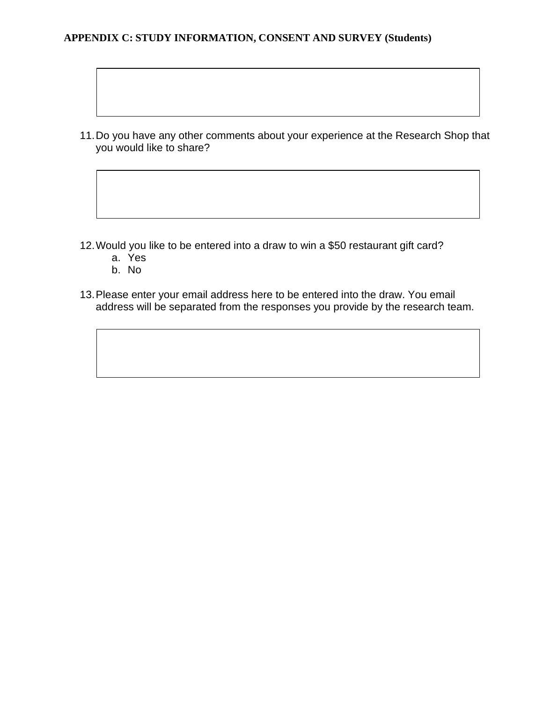11.Do you have any other comments about your experience at the Research Shop that you would like to share?

- 12.Would you like to be entered into a draw to win a \$50 restaurant gift card?
	- a. Yes
	- b. No
- 13.Please enter your email address here to be entered into the draw. You email address will be separated from the responses you provide by the research team.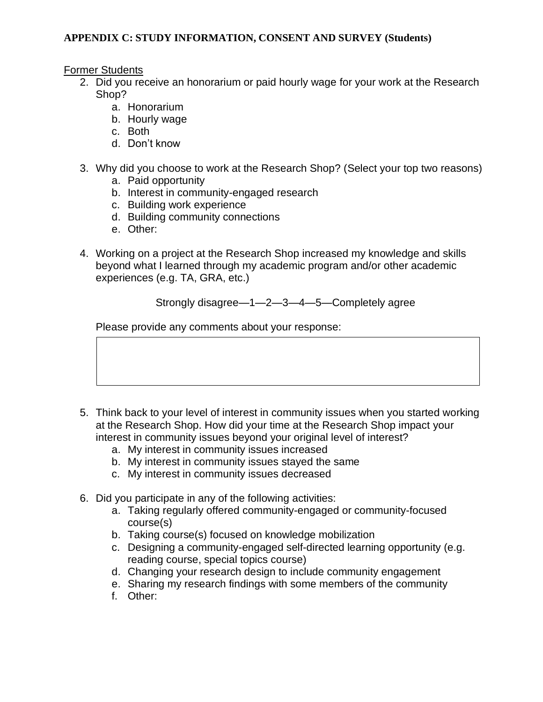Former Students

- 2. Did you receive an honorarium or paid hourly wage for your work at the Research Shop?
	- a. Honorarium
	- b. Hourly wage
	- c. Both
	- d. Don't know
- 3. Why did you choose to work at the Research Shop? (Select your top two reasons)
	- a. Paid opportunity
	- b. Interest in community-engaged research
	- c. Building work experience
	- d. Building community connections
	- e. Other:
- 4. Working on a project at the Research Shop increased my knowledge and skills beyond what I learned through my academic program and/or other academic experiences (e.g. TA, GRA, etc.)

# Strongly disagree—1—2—3—4—5—Completely agree

- 5. Think back to your level of interest in community issues when you started working at the Research Shop. How did your time at the Research Shop impact your interest in community issues beyond your original level of interest?
	- a. My interest in community issues increased
	- b. My interest in community issues stayed the same
	- c. My interest in community issues decreased
- 6. Did you participate in any of the following activities:
	- a. Taking regularly offered community-engaged or community-focused course(s)
	- b. Taking course(s) focused on knowledge mobilization
	- c. Designing a community-engaged self-directed learning opportunity (e.g. reading course, special topics course)
	- d. Changing your research design to include community engagement
	- e. Sharing my research findings with some members of the community
	- f. Other: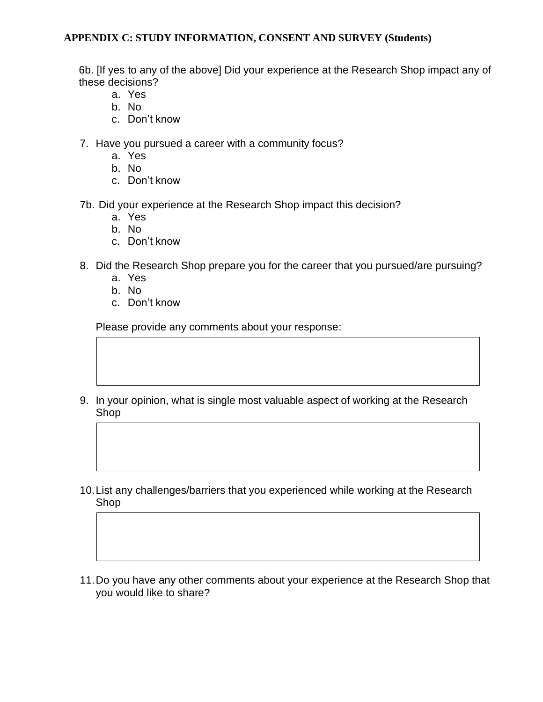6b. [If yes to any of the above] Did your experience at the Research Shop impact any of these decisions?

- a. Yes
- b. No
- c. Don't know
- 7. Have you pursued a career with a community focus?
	- a. Yes
	- b. No
	- c. Don't know
- 7b. Did your experience at the Research Shop impact this decision?
	- a. Yes
	- b. No
	- c. Don't know
- 8. Did the Research Shop prepare you for the career that you pursued/are pursuing?
	- a. Yes
	- b. No
	- c. Don't know

- 9. In your opinion, what is single most valuable aspect of working at the Research Shop
- 10.List any challenges/barriers that you experienced while working at the Research Shop
- 11.Do you have any other comments about your experience at the Research Shop that you would like to share?